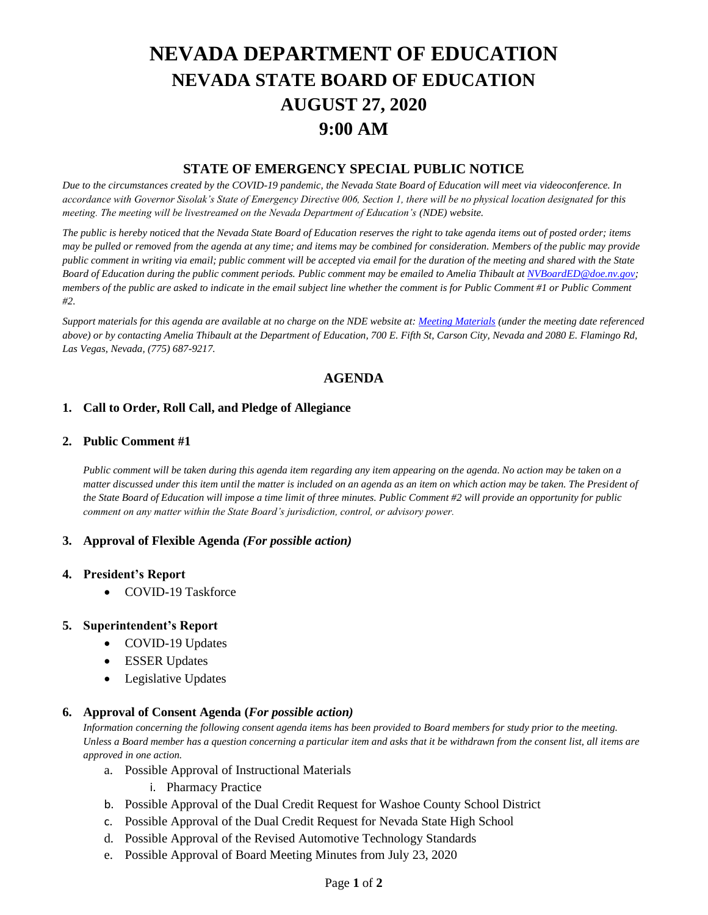# **NEVADA DEPARTMENT OF EDUCATION NEVADA STATE BOARD OF EDUCATION AUGUST 27, 2020 9:00 AM**

## **STATE OF EMERGENCY SPECIAL PUBLIC NOTICE**

*Due to the circumstances created by the COVID-19 pandemic, the Nevada State Board of Education will meet via videoconference. In accordance with Governor Sisolak's State of Emergency Directive 006, Section 1, there will be no physical location designated for this meeting. The meeting will be livestreamed on the Nevada Department of Education's (NDE) website.* 

*The public is hereby noticed that the Nevada State Board of Education reserves the right to take agenda items out of posted order; items may be pulled or removed from the agenda at any time; and items may be combined for consideration. Members of the public may provide public comment in writing via email; public comment will be accepted via email for the duration of the meeting and shared with the State Board of Education during the public comment periods. Public comment may be emailed to Amelia Thibault at [NVBoardED@doe.nv.gov;](mailto:NVBoardED@doe.nv.gov) members of the public are asked to indicate in the email subject line whether the comment is for Public Comment #1 or Public Comment #2.* 

*Support materials for this agenda are available at no charge on the NDE website at[: Meeting Materials](http://www.doe.nv.gov/Boards_Commissions_Councils/State_Board_of_Education/Meeting_Materials/) (under the meeting date referenced above) or by contacting Amelia Thibault at the Department of Education, 700 E. Fifth St, Carson City, Nevada and 2080 E. Flamingo Rd, Las Vegas, Nevada, (775) 687-9217.*

# **AGENDA**

## **1. Call to Order, Roll Call, and Pledge of Allegiance**

#### **2. Public Comment #1**

*Public comment will be taken during this agenda item regarding any item appearing on the agenda. No action may be taken on a matter discussed under this item until the matter is included on an agenda as an item on which action may be taken. The President of the State Board of Education will impose a time limit of three minutes. Public Comment #2 will provide an opportunity for public comment on any matter within the State Board's jurisdiction, control, or advisory power.*

#### **3. Approval of Flexible Agenda** *(For possible action)*

#### **4. President's Report**

• COVID-19 Taskforce

#### **5. Superintendent's Report**

- COVID-19 Updates
- ESSER Updates
- Legislative Updates

#### **6. Approval of Consent Agenda (***For possible action)*

*Information concerning the following consent agenda items has been provided to Board members for study prior to the meeting. Unless a Board member has a question concerning a particular item and asks that it be withdrawn from the consent list, all items are approved in one action.*

- a. Possible Approval of Instructional Materials
	- i. Pharmacy Practice
- b. Possible Approval of the Dual Credit Request for Washoe County School District
- c. Possible Approval of the Dual Credit Request for Nevada State High School
- d. Possible Approval of the Revised Automotive Technology Standards
- e. Possible Approval of Board Meeting Minutes from July 23, 2020